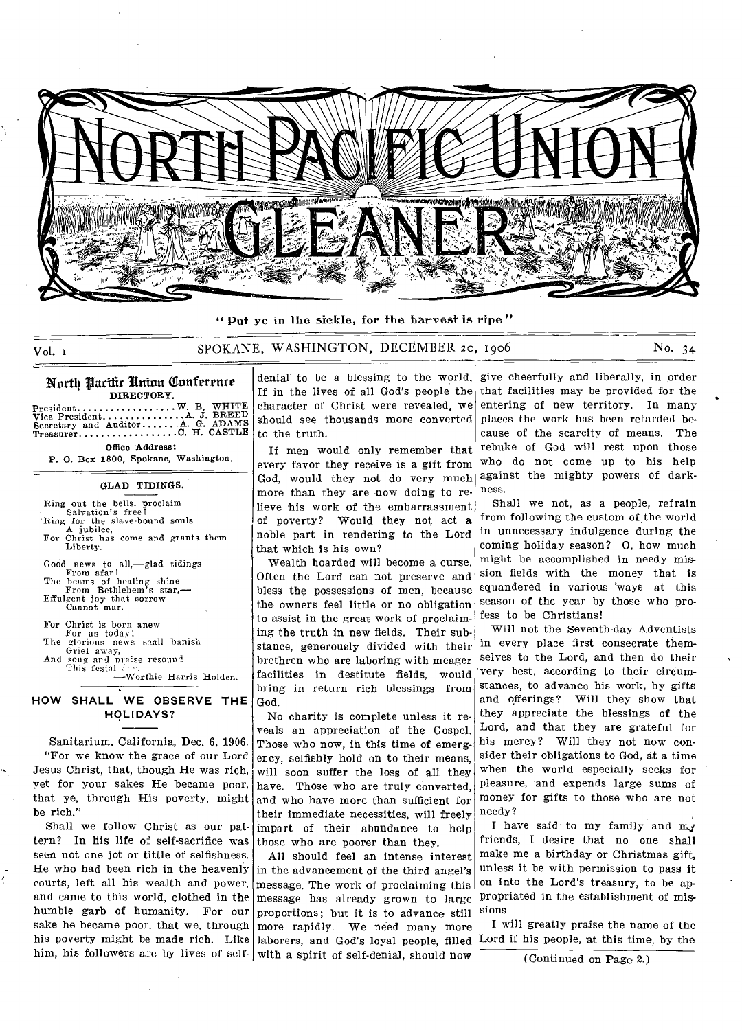

" Put ye in the sickle, for the harvest is ripe "

## Vol. 1 SPOKANE, WASHINGTON, DECEMBER 20, 1906 No. 34

## North Pacific Union Conference **DIRECTORY.**

President............<br>Vice President........<br>Secretary and Auditor<br>Treasurer............ W. B. WHITE<br>
.A. J. BREED<br>
.A. G. ADAMS<br>
C. H. CASTLE

Office Address: P. 0. Box 1800, Spokane, Washington.

#### **GLAD TIDINGS.**

Ring out the bells, proclaim Salvation's free! Ring for the slave-bound souls A jubilee, For Christ has come and grants them Liberty. Good news to all,—glad tidings From afar! The beams of healing shine From Bethlehem's star,— Effulgent joy that sorrow Cannot mar. For Christ is born anew For us today! The glorious news shall banish Grief away, And song and praise resound<br>This festal  $\frac{\partial f}{\partial x}$ -Worthie Harris Holden.

## **HOW SHALL WE OBSERVE THE HOLIDAYS?**

Sanitarium, California, Dec. 6, 1906. "For we know the grace of our Lord Jesus Christ, that, though He was rich, yet for your sakes He became poor, that ye, through His poverty, might be rich."

Shall we follow Christ as our pattern? In his life of self-sacrifice was seen not one jot or tittle of selfishness. He who had been rich in the heavenly courts, left all his wealth and power, and came to this world, clothed in the humble garb of humanity. For our sake he became poor, that we, through

denial to be a blessing to the world. If in the lives of all God's people the character of Christ were revealed, we should see thousands more converted to the truth.

If men would only remember that every favor they receive is a gift from God, would they not do very much more than they are now doing to relieve his work of the embarrassment of poverty? Would they not act a noble part in rendering to the Lord that which is his own?

Wealth hoarded will become a curse. Often the Lord can not preserve and bless the possessions of men, because the owners feel little or no obligation to assist in the great work of proclaiming the truth in new fields. Their substance, generously divided with their brethren who are laboring with meager facilities in destitute fields, would bring in return rich blessings from God.

No charity is complete unless it reveals an appreciation of the Gospel. Those who now, in this time of emergency, selfishly hold on to their means, will soon suffer the loss of all they have. Those who are truly converted, and who have more than sufficient for their immediate necessities, will freely impart of their abundance to help those who are poorer than they.

his poverty might be made rich. Like laborers, and God's loyal people, filled him, his followers are by lives of self | with a spirit of self-denial, should now | All should feel an intense interest in the advancement of the third angel's message. The work of proclaiming this message has already grown to large proportions; but it is to advance still more rapidly. We need many more

give cheerfully and liberally, in order that facilities may be provided for the entering of new territory. In many places the work has been retarded because of the scarcity of means. The rebuke of God will rest upon those who do not come up to his help against the mighty powers of darkness.

Shall we not, as a people, refrain from following the custom of the world in unnecessary indulgence during the coming holiday season? 0, how much might be accomplished in needy mission fields with the money that is squandered in various 'ways at this season of the year by those who profess to be Christians!

Will not the Seventh-day Adventists in every place first consecrate themselves to the Lord, and then do their very best, according to their circumstances, to advance his work, by gifts and offerings? Will they show that they appreciate the blessings of the Lord, and that they are grateful for his mercy? Will they not now consider their obligations to God, at a time when the world especially seeks for pleasure, and expends large sums of money for gifts to those who are not needy?

I have said to my family and  $mJ$ friends, I desire that no one shall make me a birthday or Christmas gift, unless it be with permission to pass it on into the Lord's treasury, to be appropriated in the establishment of missions.

I will greatly praise the name of the Lord if his people, at this time, by the

(Continued on Page 2.)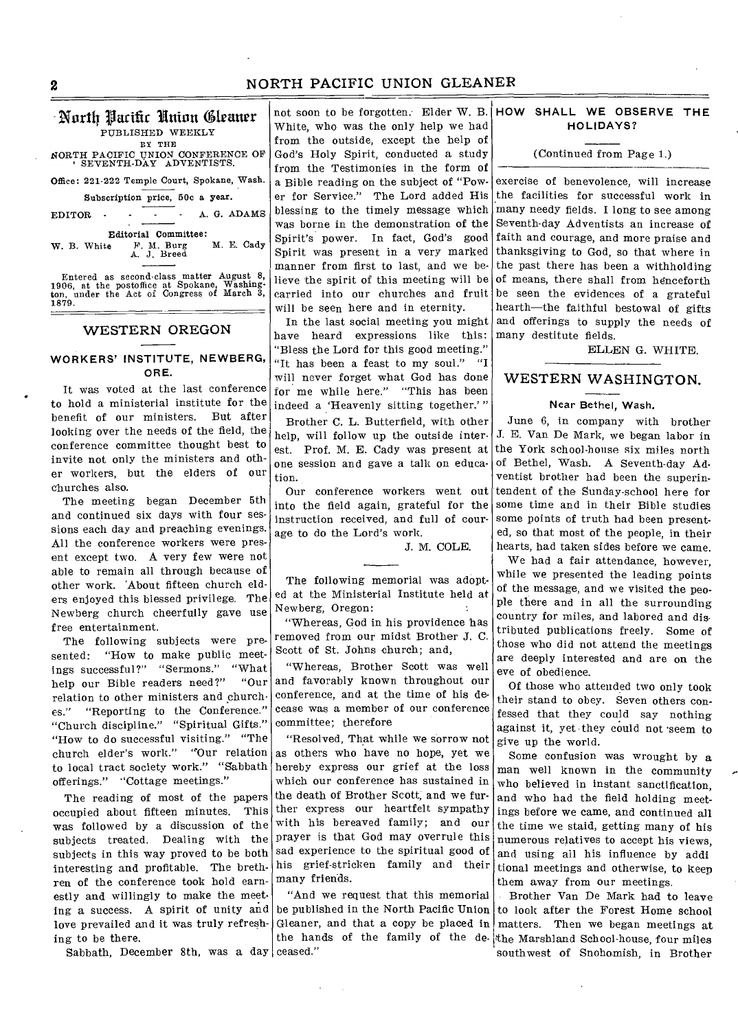## 2 NORTH PACIFIC UNION GLEANER

# PUBLISHED WEEKLY

BY THE NORTH PACIFIC UNION CONFERENCE OF ' SEVENTH-DAY ADVENTISTS.

Office: 221-222 Temple Court, Spokane, Wash.

Subscription price, 50c a year.

EDITOR - - - - A. G. ADAMS

Editorial Committee:<br>  $\begin{array}{ll}\n\text{Euler} \\
\text{E} \\
\text{E} \\
\text{E} \\
\text{E} \\
\text{E} \\
\text{E} \\
\text{E} \\
\text{E} \\
\text{E} \\
\text{E} \\
\text{E} \\
\text{E} \\
\text{E} \\
\text{E} \\
\text{E} \\
\text{E} \\
\text{E} \\
\text{E} \\
\text{E} \\
\text{E} \\
\text{E} \\
\text{E} \\
\text{E} \\
\text{E} \\
\text{E} \\
\text{E} \\
\text{E} \\
\text{E} \\
\text{E} \\
\text{E} \\
\text{$ W. B. White F. M. Burg M. E. Cady<br>A. J. Breed

Entered as second-class matter August 8, 1906, at the postoffice at Spokane, Washing-ton, under the Act of Congress, of March 3, 1879.

## WESTERN OREGON

## **WORKERS' INSTITUTE, NEWBERG, ORE.**

It was voted at the last conference to hold a ministerial institute for the benefit of our ministers. But after looking over the needs of the field, the conference committee thought best to invite not only the ministers and other workers, but the elders of our churches also.

The meeting began December 5th and continued six days with four sessions each day and preaching evenings. All the conference workers were present except two. A very few were not able to remain all through because of other work. 'About fifteen church elders enjoyed this blessed privilege. The Newberg church cheerfully gave use free entertainment.

The following subjects were presented: "How to make public meet-<br>ings successful?" "Sermons." "What ings successful?" "Sermons." "What<br>help our Bible readers need?" "Our help our Bible readers need?" relation to other ministers and churches." "Reporting to the Conference." "Church discipline." "Spiritual Gifts." "How to do successful visiting." "The church elder's work." "'Our relation to local tract society work." "Sabbath offerings." "Cottage meetings."

The reading of most of the papers occupied about fifteen minutes. This was followed by a discussion of the subjects treated. Dealing with the subjects in this way proved to be both interesting and profitable. The brethren of the conference took hold earnestly and willingly to make the meeting a success. A spirit of unity and love prevailed and it was truly refreshing to be there.

Sabbath, December 8th, was a day ceased."

Worth Parifir Union Gleaner not soon to be forgotten. Elder W. B. HOW SHALL WE OBSERVE THE not soon to be forgotten. Elder W. B. White, who was the only help we had from the outside, except the help of God's Holy Spirit, conducted a study from the Testimonies in the form of a Bible reading on the subject of "Power for Service." The Lord added His blessing to the timely message which was borne in the demonstration of the

Spirit's power. In fact, God's good Spirit was present in a very marked manner from first to last, and we believe the spirit of this meeting will be carried into our churches and fruit will be seen here and in eternity.

In the last social meeting you might have heard expressions like this: "Bless the Lord for this good meeting." "It has been a feast to my soul." "I will never forget what God has done for me while here." "This has been indeed a 'Heavenly sitting together.' "

Brother C. L. Butterfield, with other help, will follow up the outside interest. Prof. M. E. Cady was present at one session and gave a talk on education.

Our conference workers went out into the field again, grateful for the instruction received, and full of courage to do the Lord's work.

J. M. COLE.

The following memorial was adopted at the Ministerial Institute held at Newberg, Oregon:

"Whereas, God in his providence has removed from our midst Brother J. C. Scott of St. Johns church; and,

"Whereas, Brother Scott was well and favorably known throughout our conference, and at the time of his decease was a member of our conference committee; therefore

"Resolved, That while we sorrow not as others who have no hope, yet we hereby express our grief at the loss which our conference has sustained in the death of Brother Scott, and we further express our heartfelt sympathy with his bereaved family; and our prayer is that God may overrule this sad experience to the spiritual good of his grief-stricken family and their many friends.

"And we request that this memorial be published in the North Pacific Union Gleaner, and that a copy be placed in the hands of the family of the de-the Marshland School-house, four miles

## **HOLIDAYS?**

### (Continued from Page

exercise of benevolence, will increase the facilities for successful work in many needy fields. I long to see among Seventh-day Adventists an increase of faith and courage, and more praise and thanksgiving to God, so that where in the past there has been a withholding of means, there shall from henceforth be seen the evidences of a grateful hearth—the faithful bestowal of gifts and offerings to supply the needs of many destitute fields.

ELLEN G. WHITE.

## WESTERN WASHINGTON.

### Near Bethel, Wash.

June 6, in company with brother J. E. Van De Mark, we began labor in the York school-house six miles north of Bethel, Wash. A Seventh-day Adventist brother had been the superintendent of the Sunday-school here for some time and in their Bible studies some points of truth had been presented, so that most of the people, in their hearts, had taken sides before we came.

We had a fair attendance, however, while we presented the leading points of the message, and we visited the people there and in all the surrounding country for miles, and labored and distributed publications freely. Some of those who did not attend the meetings are deeply interested and are on the eve of obedience.

Of those who attended two only took their stand to obey. Seven others confessed that they could say nothing against it, yet they could not seem to give up the world.

Some confusion was wrought by a man well known in the community who believed in instant sanctification, and who had the field holding meetings before we came, and continued all the time we staid, getting many of his numerous relatives to accept his views, and using ail his influence by addi tional meetings and otherwise, to keep them away from our meetings.

Brother Van De Mark had to leave to look after the Forest Home school matters. Then we began meetings at southwest of Snohomish, in Brother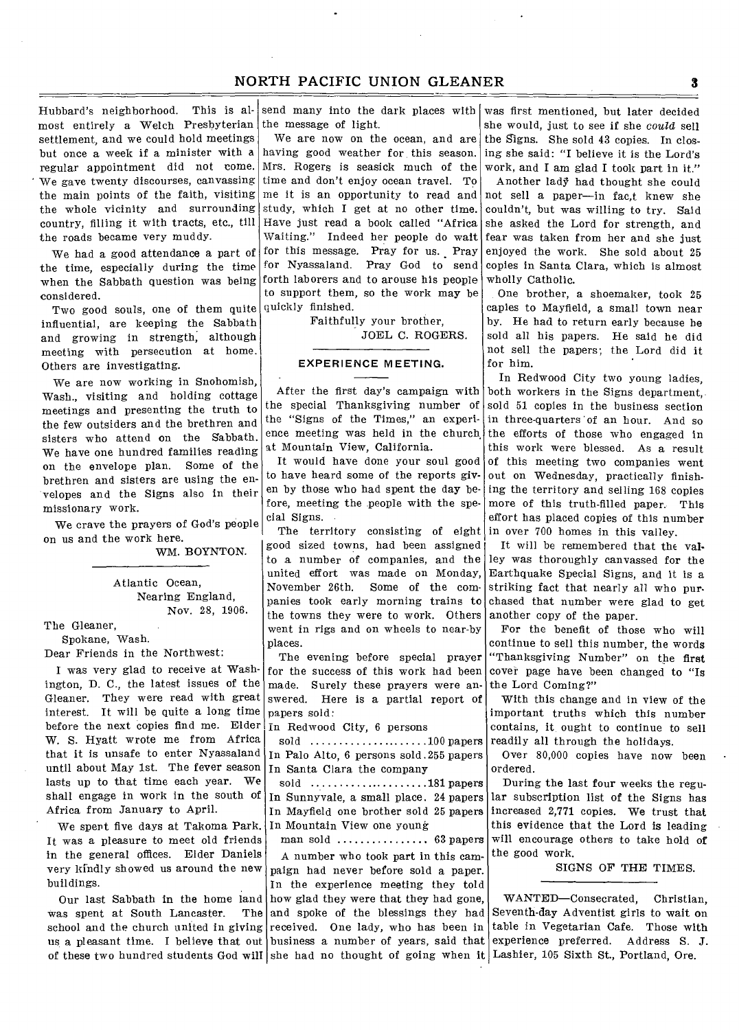## NORTH PACIFIC UNION GLEANER **3**

Hubbard's neighborhood. This is almost entirely a Welch Presbyterian settlement, and we could hold meetings but once a week if a minister with a regular appointment did not come. We gave twenty discourses, canvassing the main points of the faith, visiting the whole vicinity and surrounding country, filling it with tracts, etc., till the roads became very muddy.

the time, especially during the time when the Sabbath question was being considered.

Two good souls, one of them quite influential, are keeping the Sabbath and growing in strength, although meeting with persecution at home. Others are investigating.

We are now working in Snohomish, Wash., visiting and holding cottage meetings and presenting the truth to the few outsiders and the brethren and sisters who attend on the Sabbath. We have one hundred families reading on the envelope plan. Some of the brethren and sisters are using the envelopes and the Signs also in their missionary work.

We crave the prayers of God's people on us and the work here.

WM. BOYNTON.

Atlantic Ocean, Nearing England, Nov. 28, 1906.

The Gleaner,

Spokane, Wash. Dear Friends in the Northwest:

I was very glad to receive at Washington, D. C., the latest issues of the Gleaner. They were read with great interest. It will be quite a long time before the next copies find me. Elder W. S. Hyatt wrote me from Africa that it is unsafe to enter Nyassaland until about May 1st. The fever season lasts up to that time each year. We shall engage in work in the south of Africa from January to April.

We spent five days at Takoma Park. It was a pleasure to meet old friends in the general offices. Elder Daniels very kindly showed us around the new buildings.

was spent at South Lancaster. school and the church united in giving received. One lady, who has been in us a pleasant time. I believe that out business a number of years, said that of these two hundred students God will she had no thought of going when it Lashier, 105 Sixth St., Portland, Ore.

send many into the dark places with the message of light.

We are now on the ocean, and are having good weather for this season. Mrs. Rogers is seasick much of the time and don't enjoy ocean travel. To me it is an opportunity to read and study, which I get at no other time. Have just read a book called "Africa Waiting." Indeed her people do wait We had a good attendance a part of for this message. Pray for us. Pray for Nyassaland. Pray God to send forth laborers and to arouse his people to support them, so the work may be quickly finished.

> Faithfully your brother, JOEL C. ROGERS.

### **EXPERIENCE MEETING.**

the special Thanksgiving number of the "Signs of the Times," an experience meeting was held in the church at Mountain View, California.

It would have done your soul good to have heard some of the reports given by those who had spent the day before, meeting the people with the special Signs.

The territory consisting of eight good sized towns, had been assigned to a number of companies, and the united effort was made on Monday, November 26th. Some of the companies took early morning trains to the towns they were to work. Others went in rigs and on wheels to near-by places.

The evening before special prayer for the success of this work had been made. Surely these prayers were answered. Here is a partial report of papers sold:

In Redwood City, 6 persons

sold .....................100 papers In Palo Alto, 6 persons sold 255 papers In Santa Clara the company

sold ....................181 papers In Sunnyvale, a small place. 24 papers In Mayfield one brother sold 25 papers In Mountain View one young

man sold ............... 63 papers

Our last Sabbath in the home land how glad they were that they had gone, A number who took part in this campaign had never before sold a paper. In the experience meeting they told The and spoke of the blessings they had

was first mentioned, but later decided she would, just to see if she *could* sell the Signs. She sold 43 copies. In closing she said: "I believe it is the Lord's work, and I am glad I took part in it."

Another lady had thought she could not sell a paper—in fac,t knew she couldn't, but was willing to try. Said she asked the Lord for strength, and fear was taken from her and she just enjoyed the work. She sold about 25 copies in Santa Clara, which is almost wholly Catholic.

One brother, a shoemaker, took 25 capies to Mayfield, a small town near by. He had to return early because be sold all his papers. He said he did not sell the papers; the Lord did it for him.

After the first day's campaign with both workers in the Signs department, In Redwood City two young ladies, sold 51 copies in the business section in three-quarters 'of an hour. And so the efforts of those who engaged in this work were blessed. As a result of this meeting two companies went out on Wednesday, practically finishing the territory and selling 168 copies more of this truth-filled paper. This effort has placed copies of this number in over 700 homes in this valley.

> It will be remembered that the valley was thoroughly canvassed for the Earthquake Special Signs, and it is a striking fact that nearly all who purchased that number were glad to get another copy of the paper.

> For the benefit of those who will continue to sell this number, the words "Thanksgiving Number" on the first cover page have been changed to "Is the Lord Coming?"

> With this change and in view of the important truths which this number contains, it ought to continue to sell readily all through the holidays.

> Over 80,000 copies have now been ordered.

> During the last four weeks the regular subscription list of the Signs has increased 2,771 copies. We trust that this evidence that the Lord is leading will encourage others to take hold of the good work.

> > SIGNS OF THE TIMES.

WANTED—Consecrated, Christian, Seventh-day Adventist girls to wait on table in Vegetarian Cafe. Those with experience preferred. Address S. J.